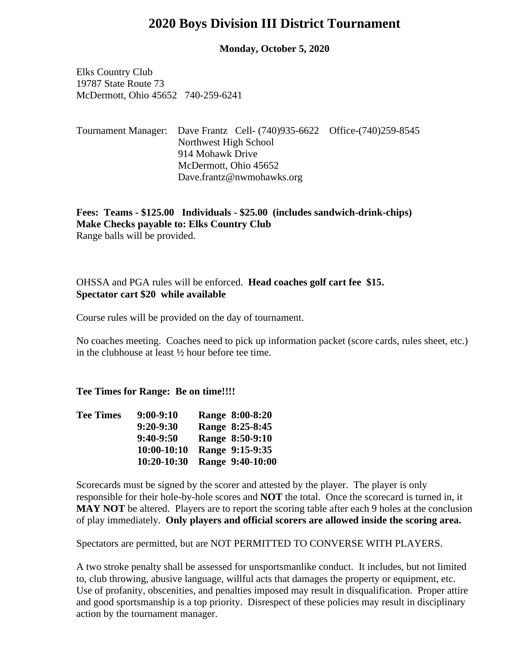## **2020 Boys Division III District Tournament**

**Monday, October 5, 2020**

Elks Country Club 19787 State Route 73 McDermott, Ohio 45652 740-259-6241

### Tournament Manager: Dave Frantz Cell- (740)935-6622 Office-(740)259-8545 Northwest High School 914 Mohawk Drive McDermott, Ohio 45652 Dave.frantz@nwmohawks.org

**Fees: Teams - \$125.00 Individuals - \$25.00 (includes sandwich-drink-chips) Make Checks payable to: Elks Country Club** Range balls will be provided.

# OHSSA and PGA rules will be enforced. **Head coaches golf cart fee \$15. Spectator cart \$20 while available**

Course rules will be provided on the day of tournament.

No coaches meeting. Coaches need to pick up information packet (score cards, rules sheet, etc.) in the clubhouse at least ½ hour before tee time.

**Tee Times for Range: Be on time!!!!**

| Range 8:00-8:20  |
|------------------|
| Range 8:25-8:45  |
| Range 8:50-9:10  |
| Range 9:15-9:35  |
| Range 9:40-10:00 |
|                  |

Scorecards must be signed by the scorer and attested by the player. The player is only responsible for their hole-by-hole scores and **NOT** the total. Once the scorecard is turned in, it MAY NOT be altered. Players are to report the scoring table after each 9 holes at the conclusion of play immediately. **Only players and official scorers are allowed inside the scoring area.**

Spectators are permitted, but are NOT PERMITTED TO CONVERSE WITH PLAYERS.

A two stroke penalty shall be assessed for unsportsmanlike conduct. It includes, but not limited to, club throwing, abusive language, willful acts that damages the property or equipment, etc. Use of profanity, obscenities, and penalties imposed may result in disqualification. Proper attire and good sportsmanship is a top priority. Disrespect of these policies may result in disciplinary action by the tournament manager.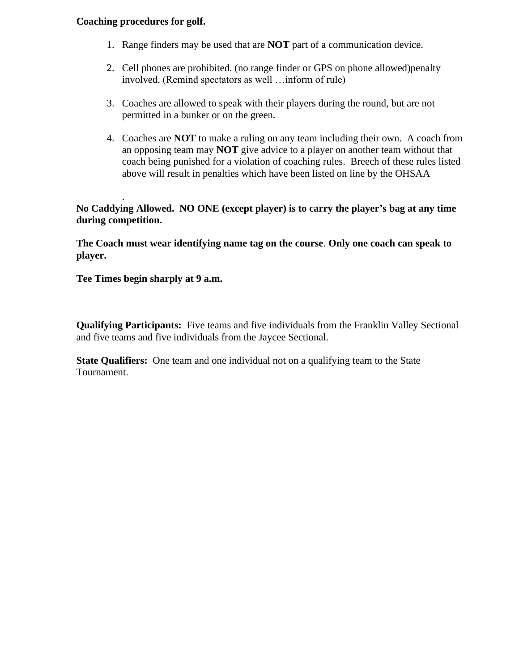#### **Coaching procedures for golf.**

- 1. Range finders may be used that are **NOT** part of a communication device.
- 2. Cell phones are prohibited. (no range finder or GPS on phone allowed)penalty involved. (Remind spectators as well …inform of rule)
- 3. Coaches are allowed to speak with their players during the round, but are not permitted in a bunker or on the green.
- 4. Coaches are **NOT** to make a ruling on any team including their own. A coach from an opposing team may **NOT** give advice to a player on another team without that coach being punished for a violation of coaching rules. Breech of these rules listed above will result in penalties which have been listed on line by the OHSAA

**No Caddying Allowed. NO ONE (except player) is to carry the player's bag at any time during competition.**

**The Coach must wear identifying name tag on the course**. **Only one coach can speak to player.**

**Tee Times begin sharply at 9 a.m.**

.

**Qualifying Participants:** Five teams and five individuals from the Franklin Valley Sectional and five teams and five individuals from the Jaycee Sectional.

**State Qualifiers:** One team and one individual not on a qualifying team to the State Tournament.